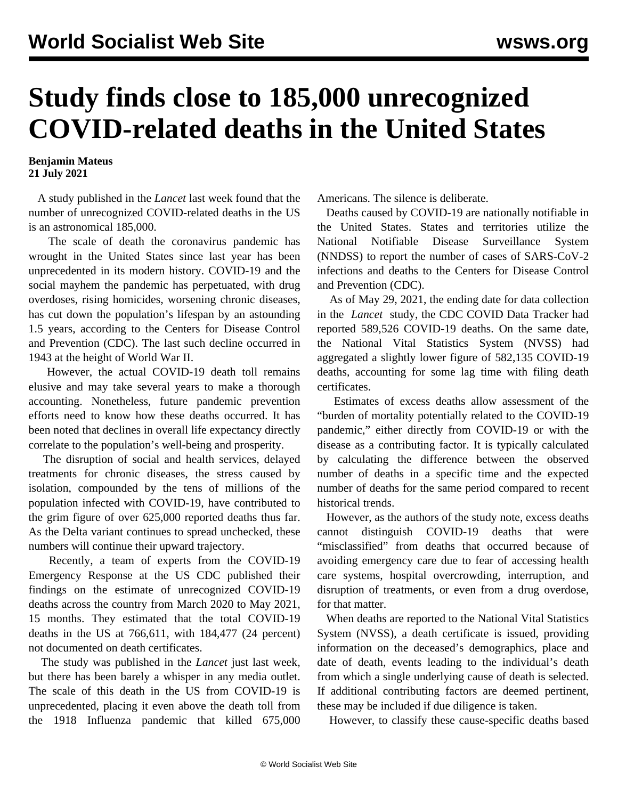## **Study finds close to 185,000 unrecognized COVID-related deaths in the United States**

## **Benjamin Mateus 21 July 2021**

 A study published in the *Lancet* last week found that the number of unrecognized COVID-related deaths in the US is an astronomical 185,000.

 The scale of death the coronavirus pandemic has wrought in the United States since last year has been unprecedented in its modern history. COVID-19 and the social mayhem the pandemic has perpetuated, with drug overdoses, rising homicides, worsening chronic diseases, has cut down the population's lifespan by an astounding 1.5 years, according to the Centers for Disease Control and Prevention (CDC). The last such decline occurred in 1943 at the height of World War II.

 However, the actual COVID-19 death toll remains elusive and may take several years to make a thorough accounting. Nonetheless, future pandemic prevention efforts need to know how these deaths occurred. It has been noted that declines in overall life expectancy directly correlate to the population's well-being and prosperity.

 The disruption of social and health services, delayed treatments for chronic diseases, the stress caused by isolation, compounded by the tens of millions of the population infected with COVID-19, have contributed to the grim figure of over 625,000 reported deaths thus far. As the Delta variant continues to spread unchecked, these numbers will continue their upward trajectory.

 Recently, a team of experts from the COVID-19 Emergency Response at the US CDC published their findings on the estimate of unrecognized COVID-19 deaths across the country from March 2020 to May 2021, 15 months. They estimated that the total COVID-19 deaths in the US at 766,611, with 184,477 (24 percent) not documented on death certificates.

 The study was published in the *Lancet* just last week, but there has been barely a whisper in any media outlet. The scale of this death in the US from COVID-19 is unprecedented, placing it even above the death toll from the 1918 Influenza pandemic that killed 675,000 Americans. The silence is deliberate.

 Deaths caused by COVID-19 are nationally notifiable in the United States. States and territories utilize the National Notifiable Disease Surveillance System (NNDSS) to report the number of cases of SARS-CoV-2 infections and deaths to the Centers for Disease Control and Prevention (CDC).

 As of May 29, 2021, the ending date for data collection in the *[Lancet](https://www.thelancet.com/journals/lanam/article/PIIS2667-193X(21)00011-9/fulltext)* study, the [CDC COVID Data Tracker](https://covid.cdc.gov/covid-data-tracker/#datatracker-home) had reported 589,526 COVID-19 deaths. On the same date, the [National Vital Statistics System](https://www.cdc.gov/nchs/nvss/covid-19.htm) (NVSS) had aggregated a slightly lower figure of 582,135 COVID-19 deaths, accounting for some lag time with filing death certificates.

 Estimates of excess deaths allow assessment of the "burden of mortality potentially related to the COVID-19 pandemic," either directly from COVID-19 or with the disease as a contributing factor. It is typically calculated by calculating the difference between the observed number of deaths in a specific time and the expected number of deaths for the same period compared to recent historical trends.

 However, as the authors of the study note, excess deaths cannot distinguish COVID-19 deaths that were "misclassified" from deaths that occurred because of avoiding emergency care due to fear of accessing health care systems, hospital overcrowding, interruption, and disruption of treatments, or even from a drug overdose, for that matter.

 When deaths are reported to the National Vital Statistics System (NVSS), a death certificate is issued, providing information on the deceased's demographics, place and date of death, events leading to the individual's death from which a single underlying cause of death is selected. If additional contributing factors are deemed pertinent, these may be included if due diligence is taken.

However, to classify these cause-specific deaths based